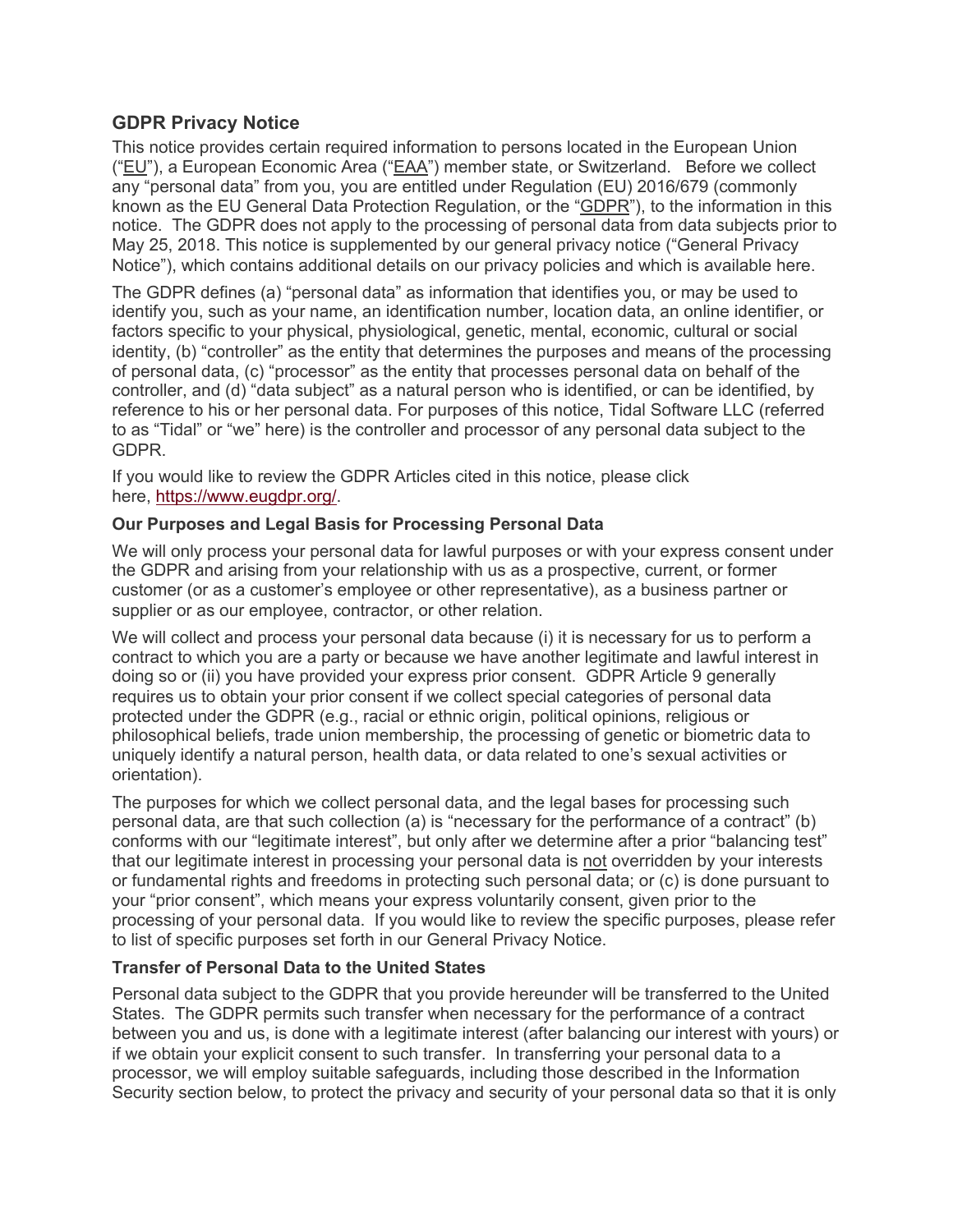# **GDPR Privacy Notice**

This notice provides certain required information to persons located in the European Union ("EU"), a European Economic Area ("EAA") member state, or Switzerland. Before we collect any "personal data" from you, you are entitled under Regulation (EU) 2016/679 (commonly known as the EU General Data Protection Regulation, or the "GDPR"), to the information in this notice. The GDPR does not apply to the processing of personal data from data subjects prior to May 25, 2018. This notice is supplemented by our general privacy notice ("General Privacy Notice"), which contains additional details on our privacy policies and which is available here.

The GDPR defines (a) "personal data" as information that identifies you, or may be used to identify you, such as your name, an identification number, location data, an online identifier, or factors specific to your physical, physiological, genetic, mental, economic, cultural or social identity, (b) "controller" as the entity that determines the purposes and means of the processing of personal data, (c) "processor" as the entity that processes personal data on behalf of the controller, and (d) "data subject" as a natural person who is identified, or can be identified, by reference to his or her personal data. For purposes of this notice, Tidal Software LLC (referred to as "Tidal" or "we" here) is the controller and processor of any personal data subject to the GDPR.

If you would like to review the GDPR Articles cited in this notice, please click here, https://www.eugdpr.org/.

#### **Our Purposes and Legal Basis for Processing Personal Data**

We will only process your personal data for lawful purposes or with your express consent under the GDPR and arising from your relationship with us as a prospective, current, or former customer (or as a customer's employee or other representative), as a business partner or supplier or as our employee, contractor, or other relation.

We will collect and process your personal data because (i) it is necessary for us to perform a contract to which you are a party or because we have another legitimate and lawful interest in doing so or (ii) you have provided your express prior consent. GDPR Article 9 generally requires us to obtain your prior consent if we collect special categories of personal data protected under the GDPR (e.g., racial or ethnic origin, political opinions, religious or philosophical beliefs, trade union membership, the processing of genetic or biometric data to uniquely identify a natural person, health data, or data related to one's sexual activities or orientation).

The purposes for which we collect personal data, and the legal bases for processing such personal data, are that such collection (a) is "necessary for the performance of a contract" (b) conforms with our "legitimate interest", but only after we determine after a prior "balancing test" that our legitimate interest in processing your personal data is not overridden by your interests or fundamental rights and freedoms in protecting such personal data; or (c) is done pursuant to your "prior consent", which means your express voluntarily consent, given prior to the processing of your personal data. If you would like to review the specific purposes, please refer to list of specific purposes set forth in our General Privacy Notice.

### **Transfer of Personal Data to the United States**

Personal data subject to the GDPR that you provide hereunder will be transferred to the United States. The GDPR permits such transfer when necessary for the performance of a contract between you and us, is done with a legitimate interest (after balancing our interest with yours) or if we obtain your explicit consent to such transfer. In transferring your personal data to a processor, we will employ suitable safeguards, including those described in the Information Security section below, to protect the privacy and security of your personal data so that it is only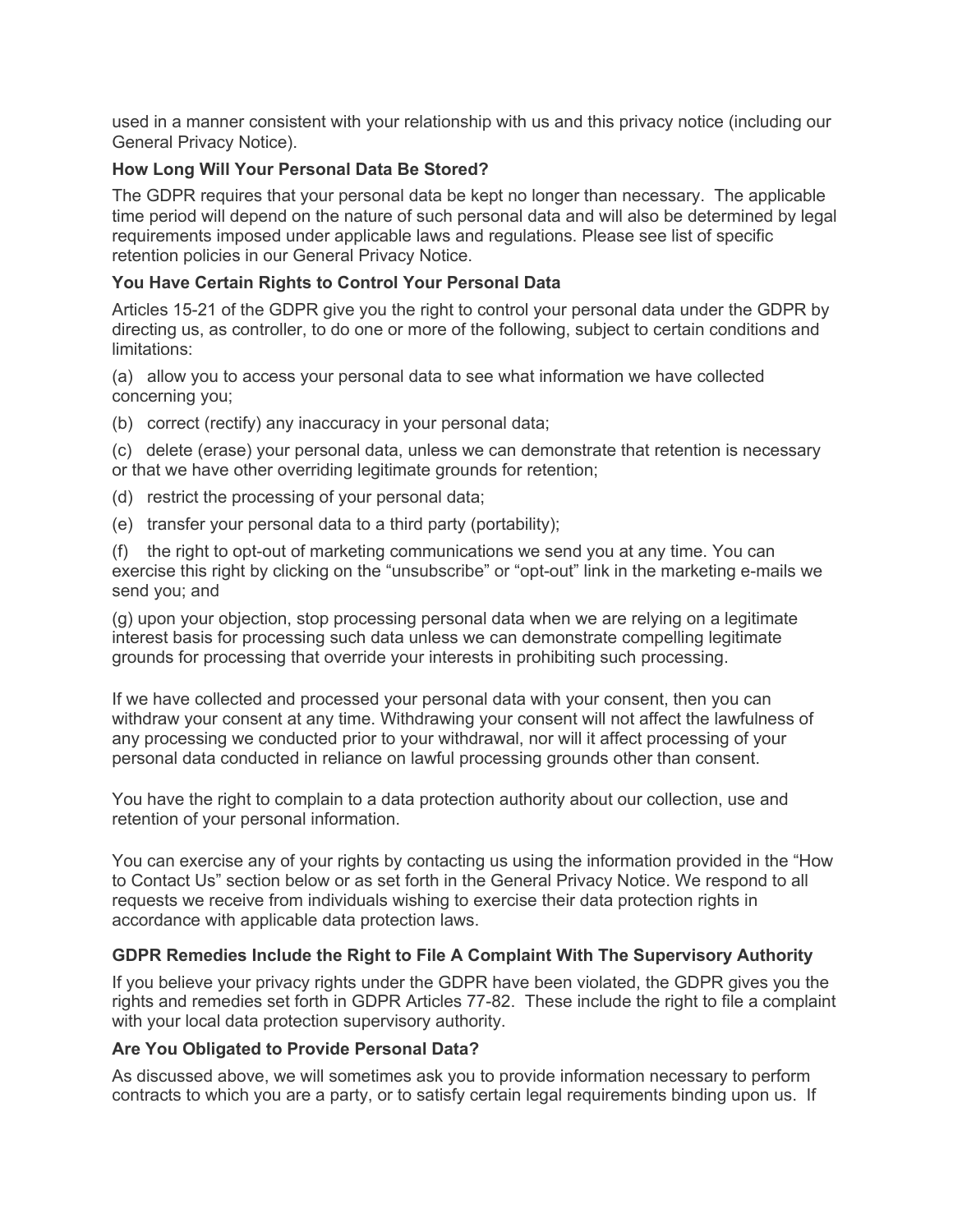used in a manner consistent with your relationship with us and this privacy notice (including our General Privacy Notice).

### **How Long Will Your Personal Data Be Stored?**

The GDPR requires that your personal data be kept no longer than necessary. The applicable time period will depend on the nature of such personal data and will also be determined by legal requirements imposed under applicable laws and regulations. Please see list of specific retention policies in our General Privacy Notice.

# **You Have Certain Rights to Control Your Personal Data**

Articles 15-21 of the GDPR give you the right to control your personal data under the GDPR by directing us, as controller, to do one or more of the following, subject to certain conditions and limitations:

(a) allow you to access your personal data to see what information we have collected concerning you;

(b) correct (rectify) any inaccuracy in your personal data;

(c) delete (erase) your personal data, unless we can demonstrate that retention is necessary or that we have other overriding legitimate grounds for retention;

- (d) restrict the processing of your personal data;
- (e) transfer your personal data to a third party (portability);

(f) the right to opt-out of marketing communications we send you at any time. You can exercise this right by clicking on the "unsubscribe" or "opt-out" link in the marketing e-mails we send you; and

(g) upon your objection, stop processing personal data when we are relying on a legitimate interest basis for processing such data unless we can demonstrate compelling legitimate grounds for processing that override your interests in prohibiting such processing.

If we have collected and processed your personal data with your consent, then you can withdraw your consent at any time. Withdrawing your consent will not affect the lawfulness of any processing we conducted prior to your withdrawal, nor will it affect processing of your personal data conducted in reliance on lawful processing grounds other than consent.

You have the right to complain to a data protection authority about our collection, use and retention of your personal information.

You can exercise any of your rights by contacting us using the information provided in the "How to Contact Us" section below or as set forth in the General Privacy Notice. We respond to all requests we receive from individuals wishing to exercise their data protection rights in accordance with applicable data protection laws.

### **GDPR Remedies Include the Right to File A Complaint With The Supervisory Authority**

If you believe your privacy rights under the GDPR have been violated, the GDPR gives you the rights and remedies set forth in GDPR Articles 77-82. These include the right to file a complaint with your local data protection supervisory authority.

### **Are You Obligated to Provide Personal Data?**

As discussed above, we will sometimes ask you to provide information necessary to perform contracts to which you are a party, or to satisfy certain legal requirements binding upon us. If